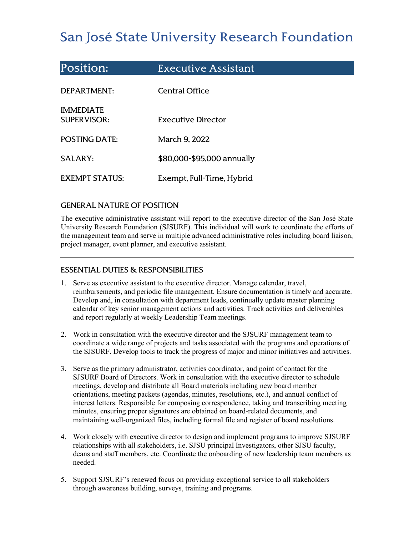# San José State University Research Foundation

| <b>Position:</b>                       | <b>Executive Assistant</b> |
|----------------------------------------|----------------------------|
| DEPARTMENT:                            | <b>Central Office</b>      |
| <b>IMMEDIATE</b><br><b>SUPERVISOR:</b> | Executive Director         |
| <b>POSTING DATE:</b>                   | March 9, 2022              |
| <b>SALARY:</b>                         | \$80,000-\$95,000 annually |
| <b>EXEMPT STATUS:</b>                  | Exempt, Full-Time, Hybrid  |

### GENERAL NATURE OF POSITION

The executive administrative assistant will report to the executive director of the San José State University Research Foundation (SJSURF). This individual will work to coordinate the efforts of the management team and serve in multiple advanced administrative roles including board liaison, project manager, event planner, and executive assistant.

## ESSENTIAL DUTIES & RESPONSIBILITIES

- 1. Serve as executive assistant to the executive director. Manage calendar, travel, reimbursements, and periodic file management. Ensure documentation is timely and accurate. Develop and, in consultation with department leads, continually update master planning calendar of key senior management actions and activities. Track activities and deliverables and report regularly at weekly Leadership Team meetings.
- 2. Work in consultation with the executive director and the SJSURF management team to coordinate a wide range of projects and tasks associated with the programs and operations of the SJSURF. Develop tools to track the progress of major and minor initiatives and activities.
- 3. Serve as the primary administrator, activities coordinator, and point of contact for the SJSURF Board of Directors. Work in consultation with the executive director to schedule meetings, develop and distribute all Board materials including new board member orientations, meeting packets (agendas, minutes, resolutions, etc.), and annual conflict of interest letters. Responsible for composing correspondence, taking and transcribing meeting minutes, ensuring proper signatures are obtained on board-related documents, and maintaining well-organized files, including formal file and register of board resolutions.
- 4. Work closely with executive director to design and implement programs to improve SJSURF relationships with all stakeholders, i.e. SJSU principal Investigators, other SJSU faculty, deans and staff members, etc. Coordinate the onboarding of new leadership team members as needed.
- 5. Support SJSURF's renewed focus on providing exceptional service to all stakeholders through awareness building, surveys, training and programs.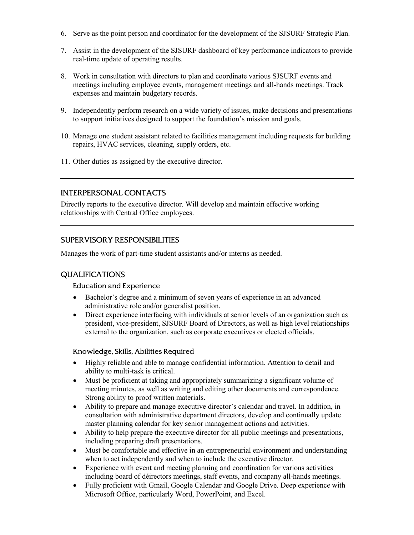- 6. Serve as the point person and coordinator for the development of the SJSURF Strategic Plan.
- 7. Assist in the development of the SJSURF dashboard of key performance indicators to provide real-time update of operating results.
- 8. Work in consultation with directors to plan and coordinate various SJSURF events and meetings including employee events, management meetings and all-hands meetings. Track expenses and maintain budgetary records.
- 9. Independently perform research on a wide variety of issues, make decisions and presentations to support initiatives designed to support the foundation's mission and goals.
- 10. Manage one student assistant related to facilities management including requests for building repairs, HVAC services, cleaning, supply orders, etc.
- 11. Other duties as assigned by the executive director.

# INTERPERSONAL CONTACTS

Directly reports to the executive director. Will develop and maintain effective working relationships with Central Office employees.

# SUPERVISORY RESPONSIBILITIES

Manages the work of part-time student assistants and/or interns as needed.

## QUALIFICATIONS

#### Education and Experience

- Bachelor's degree and a minimum of seven years of experience in an advanced administrative role and/or generalist position.
- Direct experience interfacing with individuals at senior levels of an organization such as president, vice-president, SJSURF Board of Directors, as well as high level relationships external to the organization, such as corporate executives or elected officials.

#### Knowledge, Skills, Abilities Required

- Highly reliable and able to manage confidential information. Attention to detail and ability to multi-task is critical.
- Must be proficient at taking and appropriately summarizing a significant volume of meeting minutes, as well as writing and editing other documents and correspondence. Strong ability to proof written materials.
- Ability to prepare and manage executive director's calendar and travel. In addition, in consultation with administrative department directors, develop and continually update master planning calendar for key senior management actions and activities.
- Ability to help prepare the executive director for all public meetings and presentations, including preparing draft presentations.
- Must be comfortable and effective in an entrepreneurial environment and understanding when to act independently and when to include the executive director.
- Experience with event and meeting planning and coordination for various activities including board of déirectors meetings, staff events, and company all-hands meetings.
- Fully proficient with Gmail, Google Calendar and Google Drive. Deep experience with Microsoft Office, particularly Word, PowerPoint, and Excel.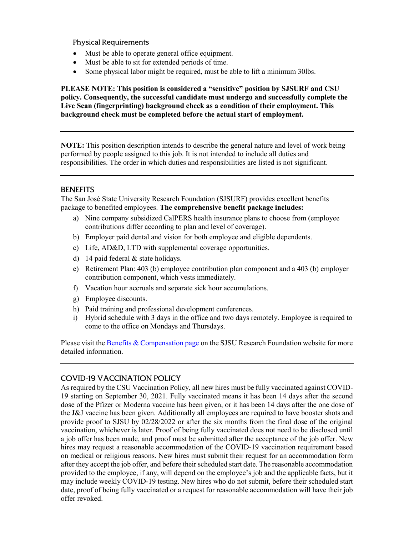Physical Requirements

- Must be able to operate general office equipment.
- Must be able to sit for extended periods of time.
- Some physical labor might be required, must be able to lift a minimum 30lbs.

**PLEASE NOTE: This position is considered a "sensitive" position by SJSURF and CSU policy. Consequently, the successful candidate must undergo and successfully complete the Live Scan (fingerprinting) background check as a condition of their employment. This background check must be completed before the actual start of employment.**

**NOTE:** This position description intends to describe the general nature and level of work being performed by people assigned to this job. It is not intended to include all duties and responsibilities. The order in which duties and responsibilities are listed is not significant.

## **BENEFITS**

The San José State University Research Foundation (SJSURF) provides excellent benefits package to benefited employees. **The comprehensive benefit package includes:**

- a) Nine company subsidized CalPERS health insurance plans to choose from (employee contributions differ according to plan and level of coverage).
- b) Employer paid dental and vision for both employee and eligible dependents.
- c) Life, AD&D, LTD with supplemental coverage opportunities.
- d) 14 paid federal & state holidays.
- e) Retirement Plan: 403 (b) employee contribution plan component and a 403 (b) employer contribution component, which vests immediately.
- f) Vacation hour accruals and separate sick hour accumulations.
- g) Employee discounts.
- h) Paid training and professional development conferences.
- i) Hybrid schedule with 3 days in the office and two days remotely. Employee is required to come to the office on Mondays and Thursdays.

Please visit th[e Benefits & Compensation page](https://www.sjsu.edu/researchfoundation/employees/benefits/index.php) on the SJSU Research Foundation website for more detailed information.

# COVID-19 VACCINATION POLICY

As required by the CSU Vaccination Policy, all new hires must be fully vaccinated against COVID-19 starting on September 30, 2021. Fully vaccinated means it has been 14 days after the second dose of the Pfizer or Moderna vaccine has been given, or it has been 14 days after the one dose of the J&J vaccine has been given. Additionally all employees are required to have booster shots and provide proof to SJSU by 02/28/2022 or after the six months from the final dose of the original vaccination, whichever is later. Proof of being fully vaccinated does not need to be disclosed until a job offer has been made, and proof must be submitted after the acceptance of the job offer. New hires may request a reasonable accommodation of the COVID-19 vaccination requirement based on medical or religious reasons. New hires must submit their request for an accommodation form after they accept the job offer, and before their scheduled start date. The reasonable accommodation provided to the employee, if any, will depend on the employee's job and the applicable facts, but it may include weekly COVID-19 testing. New hires who do not submit, before their scheduled start date, proof of being fully vaccinated or a request for reasonable accommodation will have their job offer revoked.